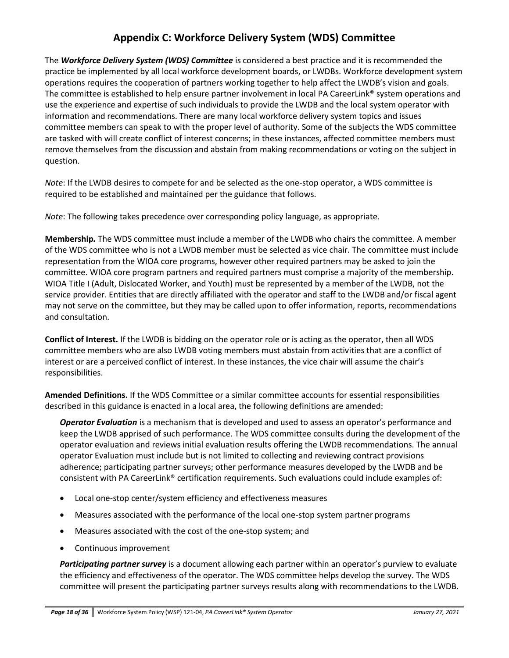## **Appendix C: Workforce Delivery System (WDS) Committee**

The *Workforce Delivery System (WDS) Committee* is considered a best practice and it is recommended the practice be implemented by all local workforce development boards, or LWDBs. Workforce development system operations requires the cooperation of partners working together to help affect the LWDB's vision and goals. The committee is established to help ensure partner involvement in local PA CareerLink® system operations and use the experience and expertise of such individuals to provide the LWDB and the local system operator with information and recommendations. There are many local workforce delivery system topics and issues committee members can speak to with the proper level of authority. Some of the subjects the WDS committee are tasked with will create conflict of interest concerns; in these instances, affected committee members must remove themselves from the discussion and abstain from making recommendations or voting on the subject in question.

*Note*: If the LWDB desires to compete for and be selected as the one-stop operator, a WDS committee is required to be established and maintained per the guidance that follows.

*Note*: The following takes precedence over corresponding policy language, as appropriate.

**Membership***.* The WDS committee must include a member of the LWDB who chairs the committee. A member of the WDS committee who is not a LWDB member must be selected as vice chair. The committee must include representation from the WIOA core programs, however other required partners may be asked to join the committee. WIOA core program partners and required partners must comprise a majority of the membership. WIOA Title I (Adult, Dislocated Worker, and Youth) must be represented by a member of the LWDB, not the service provider. Entities that are directly affiliated with the operator and staff to the LWDB and/or fiscal agent may not serve on the committee, but they may be called upon to offer information, reports, recommendations and consultation.

**Conflict of Interest.** If the LWDB is bidding on the operator role or is acting as the operator, then all WDS committee members who are also LWDB voting members must abstain from activities that are a conflict of interest or are a perceived conflict of interest. In these instances, the vice chair will assume the chair's responsibilities.

**Amended Definitions.** If the WDS Committee or a similar committee accounts for essential responsibilities described in this guidance is enacted in a local area, the following definitions are amended:

*Operator Evaluation* is a mechanism that is developed and used to assess an operator's performance and keep the LWDB apprised of such performance. The WDS committee consults during the development of the operator evaluation and reviews initial evaluation results offering the LWDB recommendations. The annual operator Evaluation must include but is not limited to collecting and reviewing contract provisions adherence; participating partner surveys; other performance measures developed by the LWDB and be consistent with PA CareerLink® certification requirements. Such evaluations could include examples of:

- Local one-stop center/system efficiency and effectiveness measures
- Measures associated with the performance of the local one-stop system partner programs
- Measures associated with the cost of the one-stop system; and
- Continuous improvement

*Participating partner survey* is a document allowing each partner within an operator's purview to evaluate the efficiency and effectiveness of the operator. The WDS committee helps develop the survey. The WDS committee will present the participating partner surveys results along with recommendations to the LWDB.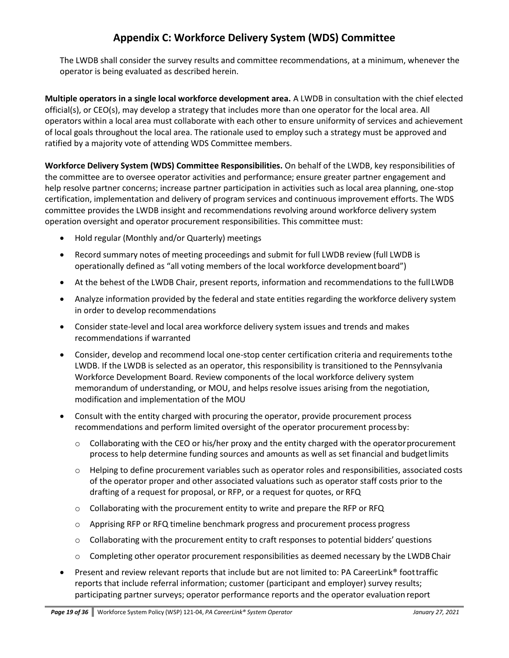## **Appendix C: Workforce Delivery System (WDS) Committee**

The LWDB shall consider the survey results and committee recommendations, at a minimum, whenever the operator is being evaluated as described herein.

**Multiple operators in a single local workforce development area.** A LWDB in consultation with the chief elected official(s), or CEO(s), may develop a strategy that includes more than one operator for the local area. All operators within a local area must collaborate with each other to ensure uniformity of services and achievement of local goals throughout the local area. The rationale used to employ such a strategy must be approved and ratified by a majority vote of attending WDS Committee members.

**Workforce Delivery System (WDS) Committee Responsibilities.** On behalf of the LWDB, key responsibilities of the committee are to oversee operator activities and performance; ensure greater partner engagement and help resolve partner concerns; increase partner participation in activities such as local area planning, one-stop certification, implementation and delivery of program services and continuous improvement efforts. The WDS committee provides the LWDB insight and recommendations revolving around workforce delivery system operation oversight and operator procurement responsibilities. This committee must:

- Hold regular (Monthly and/or Quarterly) meetings
- Record summary notes of meeting proceedings and submit for full LWDB review (full LWDB is operationally defined as "all voting members of the local workforce developmentboard")
- At the behest of the LWDB Chair, present reports, information and recommendations to the full LWDB
- Analyze information provided by the federal and state entities regarding the workforce delivery system in order to develop recommendations
- Consider state-level and local area workforce delivery system issues and trends and makes recommendations if warranted
- Consider, develop and recommend local one-stop center certification criteria and requirements tothe LWDB. If the LWDB is selected as an operator, this responsibility is transitioned to the Pennsylvania Workforce Development Board. Review components of the local workforce delivery system memorandum of understanding, or MOU, and helps resolve issues arising from the negotiation, modification and implementation of the MOU
- Consult with the entity charged with procuring the operator, provide procurement process recommendations and perform limited oversight of the operator procurement processby:
	- $\circ$  Collaborating with the CEO or his/her proxy and the entity charged with the operator procurement process to help determine funding sources and amounts as well as set financial and budgetlimits
	- $\circ$  Helping to define procurement variables such as operator roles and responsibilities, associated costs of the operator proper and other associated valuations such as operator staff costs prior to the drafting of a request for proposal, or RFP, or a request for quotes, or RFQ
	- $\circ$  Collaborating with the procurement entity to write and prepare the RFP or RFQ
	- $\circ$  Apprising RFP or RFQ timeline benchmark progress and procurement process progress
	- $\circ$  Collaborating with the procurement entity to craft responses to potential bidders' questions
	- $\circ$  Completing other operator procurement responsibilities as deemed necessary by the LWDB Chair
- Present and review relevant reports that include but are not limited to: PA CareerLink® foottraffic reports that include referral information; customer (participant and employer) survey results; participating partner surveys; operator performance reports and the operator evaluation report